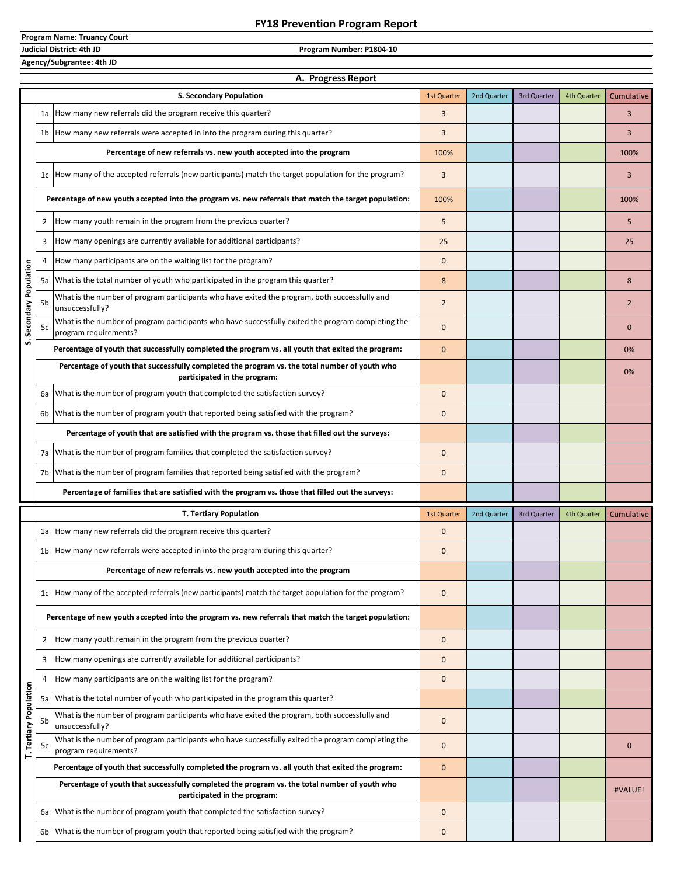## **FY18 Prevention Program Report**

**Program Name: Truancy Court**

**Judicial District: 4th JD Program Number: P1804-10 Agency/Subgrantee: 4th JD A. Progress ReportS. Secondary Population** 1st Quarter 2nd Quarter 3rd Quarter 4th Quarter Cumulative 1a 3 3 How many new referrals did the program receive this quarter? 1b 3 3 How many new referrals were accepted in into the program during this quarter? **Percentage of new referrals vs. new youth accepted into the program** 100% 100% 1c 3 3 How many of the accepted referrals (new participants) match the target population for the program? **Percentage of new youth accepted into the program vs. new referrals that match the target population:** 100% **100%** 100% 2 5 5 How many youth remain in the program from the previous quarter? 3 25 25 How many openings are currently available for additional participants? 4 How many participants are on the waiting list for the program? The many state of the proof of the proof of the proof of the proof of the proof of the proof of the proof of the proof of the proof of the proof of the proof tion **S. Secondary Population** 흐 5a 8 8 What is the total number of youth who participated in the program this quarter? Popu 5b What is the number of program participants who have exited the program, both successfully and<br>5b incurrecentulu? Secondary unsuccessfully? 5c 0 0 What is the number of program participants who have successfully exited the program completing the program requirements? ທ່ **Percentage of youth that successfully completed the program vs. all youth that exited the program:** 0 0% **Percentage of youth that successfully completed the program vs. the total number of youth who**  0% **participated in the program:** 6a What is the number of program youth that completed the satisfaction survey?  $\vert$  0 6b |What is the number of program youth that reported being satisfied with the program?  $\vert$  0 **Percentage of youth that are satisfied with the program vs. those that filled out the surveys:** 7a |What is the number of program families that completed the satisfaction survey?  $\vert$  0 7b |What is the number of program families that reported being satisfied with the program? **Percentage of families that are satisfied with the program vs. those that filled out the surveys: T. Tertiary Population** 1st Quarter 2nd Quarter 3rd Quarter 4th Quarter Cumulative 1a Mow many new referrals did the program receive this quarter? The controller controller controller controller 1b How many new referrals were accepted in into the program during this quarter?  $\vert$  0 **Percentage of new referrals vs. new youth accepted into the program** 1c How many of the accepted referrals (new participants) match the target population for the program? **Percentage of new youth accepted into the program vs. new referrals that match the target population:** 2 0 How many youth remain in the program from the previous quarter? 3 0 How many openings are currently available for additional participants? 4 How many participants are on the waiting list for the program? The many state of the proof of the proof of the proof of the proof of the proof of the proof of the proof of the proof of the proof of the proof of the proof Population **T. Tertiary Population** 5a What is the total number of youth who participated in the program this quarter? What is the number of program participants who have exited the program, both successfully and<br>5b unsusessesfully? unsuccessfully? T. Tertiary 5c 0 0 What is the number of program participants who have successfully exited the program completing the program requirements? **Percentage of youth that successfully completed the program vs. all youth that exited the program:** 0 **Percentage of youth that successfully completed the program vs. the total number of youth who**  #VALUE! **participated in the program:** 6a What is the number of program youth that completed the satisfaction survey?  $\vert$  0 6b What is the number of program youth that reported being satisfied with the program?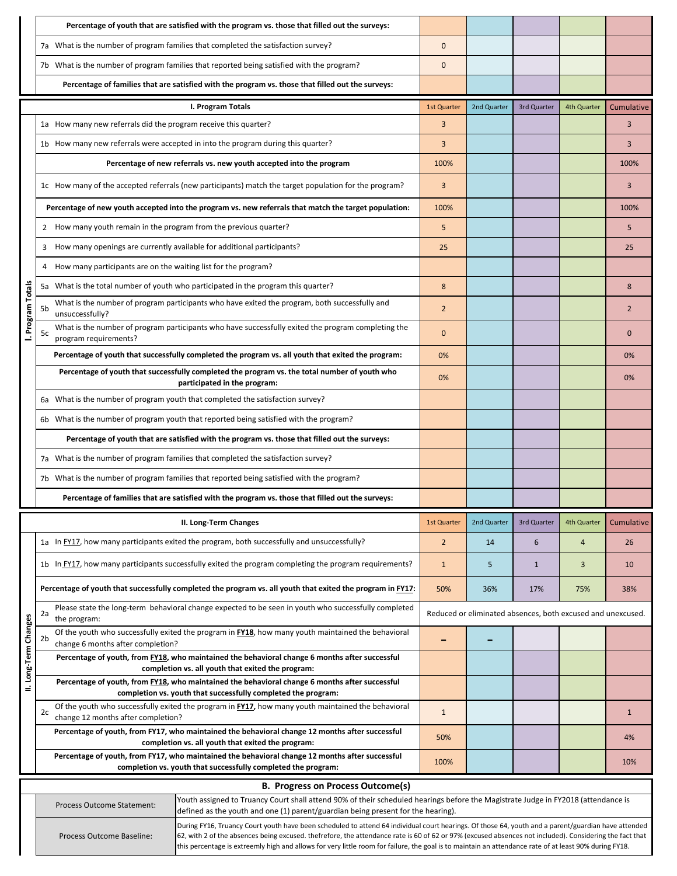|                                          | Percentage of youth that are satisfied with the program vs. those that filled out the surveys:                                                                   |                                                                                                                                                                                                                                                                                                                                                                                                                                                                          |                    |             |             |             |            |  |
|------------------------------------------|------------------------------------------------------------------------------------------------------------------------------------------------------------------|--------------------------------------------------------------------------------------------------------------------------------------------------------------------------------------------------------------------------------------------------------------------------------------------------------------------------------------------------------------------------------------------------------------------------------------------------------------------------|--------------------|-------------|-------------|-------------|------------|--|
|                                          |                                                                                                                                                                  | 7a What is the number of program families that completed the satisfaction survey?                                                                                                                                                                                                                                                                                                                                                                                        | $\mathbf 0$        |             |             |             |            |  |
|                                          |                                                                                                                                                                  | 7b What is the number of program families that reported being satisfied with the program?                                                                                                                                                                                                                                                                                                                                                                                | $\Omega$           |             |             |             |            |  |
|                                          | Percentage of families that are satisfied with the program vs. those that filled out the surveys:                                                                |                                                                                                                                                                                                                                                                                                                                                                                                                                                                          |                    |             |             |             |            |  |
|                                          |                                                                                                                                                                  | I. Program Totals                                                                                                                                                                                                                                                                                                                                                                                                                                                        | <b>1st Quarter</b> | 2nd Quarter | 3rd Quarter | 4th Quarter | Cumulative |  |
|                                          | 1a How many new referrals did the program receive this quarter?                                                                                                  |                                                                                                                                                                                                                                                                                                                                                                                                                                                                          | 3                  |             |             |             | 3          |  |
|                                          |                                                                                                                                                                  | 1b How many new referrals were accepted in into the program during this quarter?                                                                                                                                                                                                                                                                                                                                                                                         | 3                  |             |             |             | 3          |  |
|                                          |                                                                                                                                                                  | Percentage of new referrals vs. new youth accepted into the program                                                                                                                                                                                                                                                                                                                                                                                                      | 100%               |             |             |             | 100%       |  |
|                                          |                                                                                                                                                                  | 1c How many of the accepted referrals (new participants) match the target population for the program?                                                                                                                                                                                                                                                                                                                                                                    | 3                  |             |             |             | 3          |  |
|                                          | Percentage of new youth accepted into the program vs. new referrals that match the target population:                                                            | 100%                                                                                                                                                                                                                                                                                                                                                                                                                                                                     |                    |             |             | 100%        |            |  |
|                                          | How many youth remain in the program from the previous quarter?<br>2                                                                                             |                                                                                                                                                                                                                                                                                                                                                                                                                                                                          | 5                  |             |             |             | 5          |  |
|                                          | How many openings are currently available for additional participants?<br>3                                                                                      |                                                                                                                                                                                                                                                                                                                                                                                                                                                                          | 25                 |             |             |             | 25         |  |
|                                          | How many participants are on the waiting list for the program?<br>4                                                                                              |                                                                                                                                                                                                                                                                                                                                                                                                                                                                          |                    |             |             |             |            |  |
|                                          |                                                                                                                                                                  | 5a What is the total number of youth who participated in the program this quarter?                                                                                                                                                                                                                                                                                                                                                                                       | 8                  |             |             |             | 8          |  |
| I. Program Totals                        | 5b<br>unsuccessfully?                                                                                                                                            | What is the number of program participants who have exited the program, both successfully and                                                                                                                                                                                                                                                                                                                                                                            | $\overline{2}$     |             |             |             | 2          |  |
|                                          | 5c<br>program requirements?                                                                                                                                      | What is the number of program participants who have successfully exited the program completing the                                                                                                                                                                                                                                                                                                                                                                       | $\Omega$           |             |             |             | $\Omega$   |  |
|                                          |                                                                                                                                                                  | Percentage of youth that successfully completed the program vs. all youth that exited the program:                                                                                                                                                                                                                                                                                                                                                                       | 0%                 |             |             |             | 0%         |  |
|                                          | Percentage of youth that successfully completed the program vs. the total number of youth who<br>participated in the program:                                    | 0%                                                                                                                                                                                                                                                                                                                                                                                                                                                                       |                    |             |             | 0%          |            |  |
|                                          | 6a What is the number of program youth that completed the satisfaction survey?                                                                                   |                                                                                                                                                                                                                                                                                                                                                                                                                                                                          |                    |             |             |             |            |  |
|                                          | 6b What is the number of program youth that reported being satisfied with the program?                                                                           |                                                                                                                                                                                                                                                                                                                                                                                                                                                                          |                    |             |             |             |            |  |
|                                          | Percentage of youth that are satisfied with the program vs. those that filled out the surveys:                                                                   |                                                                                                                                                                                                                                                                                                                                                                                                                                                                          |                    |             |             |             |            |  |
|                                          | 7a What is the number of program families that completed the satisfaction survey?                                                                                |                                                                                                                                                                                                                                                                                                                                                                                                                                                                          |                    |             |             |             |            |  |
|                                          | 7b What is the number of program families that reported being satisfied with the program?                                                                        |                                                                                                                                                                                                                                                                                                                                                                                                                                                                          |                    |             |             |             |            |  |
|                                          |                                                                                                                                                                  | Percentage of families that are satisfied with the program vs. those that filled out the surveys:                                                                                                                                                                                                                                                                                                                                                                        |                    |             |             |             |            |  |
|                                          |                                                                                                                                                                  | II. Long-Term Changes                                                                                                                                                                                                                                                                                                                                                                                                                                                    | <b>1st Quarter</b> | 2nd Quarter | 3rd Quarter | 4th Quarter | Cumulative |  |
|                                          | 1a In FY17, how many participants exited the program, both successfully and unsuccessfully?                                                                      | $\overline{2}$                                                                                                                                                                                                                                                                                                                                                                                                                                                           | 14                 | 6           | 4           | 26          |            |  |
|                                          | 1b In FY17, how many participants successfully exited the program completing the program requirements?                                                           | $\mathbf{1}$                                                                                                                                                                                                                                                                                                                                                                                                                                                             | 5                  | 1           | 3           | 10          |            |  |
|                                          | Percentage of youth that successfully completed the program vs. all youth that exited the program in FY17:                                                       | 50%                                                                                                                                                                                                                                                                                                                                                                                                                                                                      | 36%                | 17%         | 75%         | 38%         |            |  |
|                                          | Please state the long-term behavioral change expected to be seen in youth who successfully completed<br>2a<br>the program:                                       | Reduced or eliminated absences, both excused and unexcused.                                                                                                                                                                                                                                                                                                                                                                                                              |                    |             |             |             |            |  |
| II. Long-Term Changes                    | Of the youth who successfully exited the program in FY18, how many youth maintained the behavioral<br>2 <sub>b</sub><br>change 6 months after completion?        |                                                                                                                                                                                                                                                                                                                                                                                                                                                                          |                    |             |             |             |            |  |
|                                          | Percentage of youth, from FY18, who maintained the behavioral change 6 months after successful<br>completion vs. all youth that exited the program:              |                                                                                                                                                                                                                                                                                                                                                                                                                                                                          |                    |             |             |             |            |  |
|                                          | Percentage of youth, from FY18, who maintained the behavioral change 6 months after successful<br>completion vs. youth that successfully completed the program:  |                                                                                                                                                                                                                                                                                                                                                                                                                                                                          |                    |             |             |             |            |  |
|                                          | Of the youth who successfully exited the program in <b>FY17</b> , how many youth maintained the behavioral<br>2c<br>change 12 months after completion?           | $\mathbf{1}$                                                                                                                                                                                                                                                                                                                                                                                                                                                             |                    |             |             | 1           |            |  |
|                                          | Percentage of youth, from FY17, who maintained the behavioral change 12 months after successful<br>completion vs. all youth that exited the program:             |                                                                                                                                                                                                                                                                                                                                                                                                                                                                          |                    |             |             |             | 4%         |  |
|                                          | Percentage of youth, from FY17, who maintained the behavioral change 12 months after successful<br>completion vs. youth that successfully completed the program: |                                                                                                                                                                                                                                                                                                                                                                                                                                                                          |                    |             |             |             | 10%        |  |
| <b>B. Progress on Process Outcome(s)</b> |                                                                                                                                                                  |                                                                                                                                                                                                                                                                                                                                                                                                                                                                          |                    |             |             |             |            |  |
|                                          | <b>Process Outcome Statement:</b>                                                                                                                                | Youth assigned to Truancy Court shall attend 90% of their scheduled hearings before the Magistrate Judge in FY2018 (attendance is<br>defined as the youth and one (1) parent/guardian being present for the hearing).                                                                                                                                                                                                                                                    |                    |             |             |             |            |  |
|                                          | Process Outcome Baseline:                                                                                                                                        | During FY16, Truancy Court youth have been scheduled to attend 64 individual court hearings. Of those 64, youth and a parent/guardian have attended<br>62, with 2 of the absences being excused. thefrefore, the attendance rate is 60 of 62 or 97% (excused absences not included). Considering the fact that<br>this percentage is extreemly high and allows for very little room for failure, the goal is to maintain an attendance rate of at least 90% during FY18. |                    |             |             |             |            |  |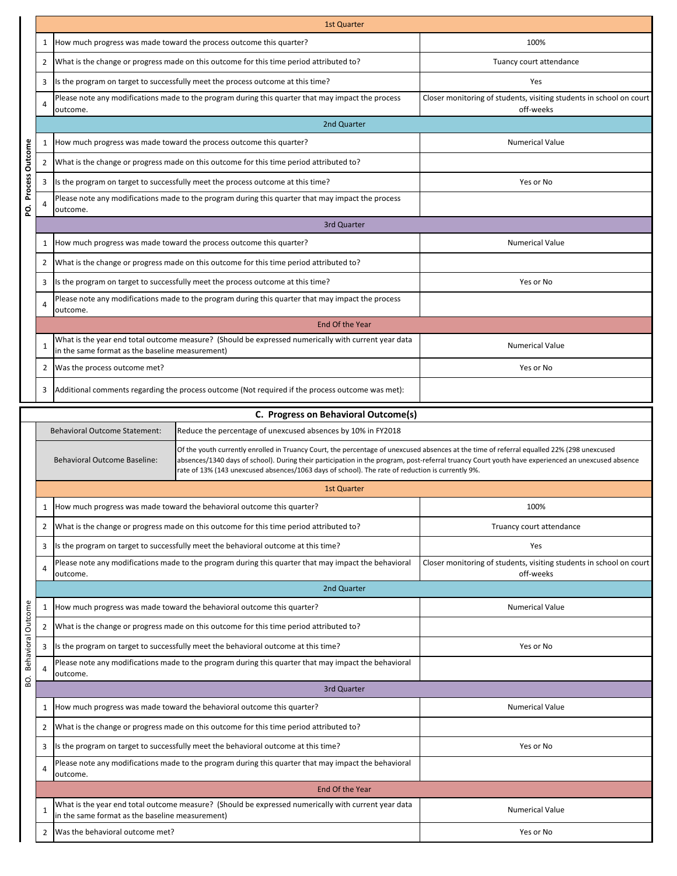|                    |                | <b>1st Quarter</b>                              |                                                                                                                                                                                                                                                                                                                                                                                                     |                                                                                  |  |  |  |  |  |
|--------------------|----------------|-------------------------------------------------|-----------------------------------------------------------------------------------------------------------------------------------------------------------------------------------------------------------------------------------------------------------------------------------------------------------------------------------------------------------------------------------------------------|----------------------------------------------------------------------------------|--|--|--|--|--|
|                    | $\mathbf{1}$   |                                                 | How much progress was made toward the process outcome this quarter?                                                                                                                                                                                                                                                                                                                                 | 100%                                                                             |  |  |  |  |  |
|                    | 2              |                                                 | What is the change or progress made on this outcome for this time period attributed to?                                                                                                                                                                                                                                                                                                             | Tuancy court attendance                                                          |  |  |  |  |  |
|                    | 3              |                                                 | Is the program on target to successfully meet the process outcome at this time?                                                                                                                                                                                                                                                                                                                     | Yes                                                                              |  |  |  |  |  |
|                    | 4              | outcome.                                        | Please note any modifications made to the program during this quarter that may impact the process                                                                                                                                                                                                                                                                                                   | Closer monitoring of students, visiting students in school on court<br>off-weeks |  |  |  |  |  |
|                    |                | 2nd Quarter                                     |                                                                                                                                                                                                                                                                                                                                                                                                     |                                                                                  |  |  |  |  |  |
|                    | 1              |                                                 | How much progress was made toward the process outcome this quarter?                                                                                                                                                                                                                                                                                                                                 | <b>Numerical Value</b>                                                           |  |  |  |  |  |
| Outcome            | 2              |                                                 | What is the change or progress made on this outcome for this time period attributed to?                                                                                                                                                                                                                                                                                                             |                                                                                  |  |  |  |  |  |
| Process            | 3              |                                                 | Is the program on target to successfully meet the process outcome at this time?                                                                                                                                                                                                                                                                                                                     | Yes or No                                                                        |  |  |  |  |  |
| ğ                  | $\overline{4}$ | outcome.                                        | Please note any modifications made to the program during this quarter that may impact the process                                                                                                                                                                                                                                                                                                   |                                                                                  |  |  |  |  |  |
|                    |                | 3rd Quarter                                     |                                                                                                                                                                                                                                                                                                                                                                                                     |                                                                                  |  |  |  |  |  |
|                    | $\mathbf{1}$   |                                                 | How much progress was made toward the process outcome this quarter?                                                                                                                                                                                                                                                                                                                                 | <b>Numerical Value</b>                                                           |  |  |  |  |  |
|                    | 2              |                                                 | What is the change or progress made on this outcome for this time period attributed to?                                                                                                                                                                                                                                                                                                             |                                                                                  |  |  |  |  |  |
|                    | 3              |                                                 | Is the program on target to successfully meet the process outcome at this time?                                                                                                                                                                                                                                                                                                                     | Yes or No                                                                        |  |  |  |  |  |
|                    | 4              | outcome.                                        | Please note any modifications made to the program during this quarter that may impact the process                                                                                                                                                                                                                                                                                                   |                                                                                  |  |  |  |  |  |
|                    |                |                                                 | End Of the Year                                                                                                                                                                                                                                                                                                                                                                                     |                                                                                  |  |  |  |  |  |
|                    | $\mathbf{1}$   | in the same format as the baseline measurement) | What is the year end total outcome measure? (Should be expressed numerically with current year data                                                                                                                                                                                                                                                                                                 | <b>Numerical Value</b>                                                           |  |  |  |  |  |
|                    | $\overline{2}$ | Was the process outcome met?                    |                                                                                                                                                                                                                                                                                                                                                                                                     | Yes or No                                                                        |  |  |  |  |  |
|                    | 3              |                                                 | Additional comments regarding the process outcome (Not required if the process outcome was met):                                                                                                                                                                                                                                                                                                    |                                                                                  |  |  |  |  |  |
|                    |                |                                                 | C. Progress on Behavioral Outcome(s)                                                                                                                                                                                                                                                                                                                                                                |                                                                                  |  |  |  |  |  |
|                    |                | <b>Behavioral Outcome Statement:</b>            | Reduce the percentage of unexcused absences by 10% in FY2018                                                                                                                                                                                                                                                                                                                                        |                                                                                  |  |  |  |  |  |
|                    |                | <b>Behavioral Outcome Baseline:</b>             | Of the youth currently enrolled in Truancy Court, the percentage of unexcused absences at the time of referral equalled 22% (298 unexcused<br>absences/1340 days of school). During their participation in the program, post-referral truancy Court youth have experienced an unexcused absence<br>rate of 13% (143 unexcused absences/1063 days of school). The rate of reduction is currently 9%. |                                                                                  |  |  |  |  |  |
|                    |                | <b>1st Quarter</b>                              |                                                                                                                                                                                                                                                                                                                                                                                                     |                                                                                  |  |  |  |  |  |
|                    | 1              |                                                 | How much progress was made toward the behavioral outcome this quarter?                                                                                                                                                                                                                                                                                                                              | 100%                                                                             |  |  |  |  |  |
|                    | 2              |                                                 | What is the change or progress made on this outcome for this time period attributed to?                                                                                                                                                                                                                                                                                                             | Truancy court attendance                                                         |  |  |  |  |  |
|                    | 3              |                                                 | Is the program on target to successfully meet the behavioral outcome at this time?                                                                                                                                                                                                                                                                                                                  | Yes                                                                              |  |  |  |  |  |
|                    | 4              | outcome.                                        | Please note any modifications made to the program during this quarter that may impact the behavioral                                                                                                                                                                                                                                                                                                | Closer monitoring of students, visiting students in school on court<br>off-weeks |  |  |  |  |  |
|                    |                | 2nd Quarter                                     |                                                                                                                                                                                                                                                                                                                                                                                                     |                                                                                  |  |  |  |  |  |
|                    | 1              |                                                 | How much progress was made toward the behavioral outcome this quarter?                                                                                                                                                                                                                                                                                                                              | <b>Numerical Value</b>                                                           |  |  |  |  |  |
| Behavioral Outcome | 2              |                                                 | What is the change or progress made on this outcome for this time period attributed to?                                                                                                                                                                                                                                                                                                             |                                                                                  |  |  |  |  |  |
|                    | 3              |                                                 | Is the program on target to successfully meet the behavioral outcome at this time?                                                                                                                                                                                                                                                                                                                  | Yes or No                                                                        |  |  |  |  |  |
|                    | $\overline{4}$ | loutcome.                                       | Please note any modifications made to the program during this quarter that may impact the behavioral                                                                                                                                                                                                                                                                                                |                                                                                  |  |  |  |  |  |
| Q.                 |                | 3rd Quarter                                     |                                                                                                                                                                                                                                                                                                                                                                                                     |                                                                                  |  |  |  |  |  |
|                    | $\mathbf{1}$   |                                                 | How much progress was made toward the behavioral outcome this quarter?                                                                                                                                                                                                                                                                                                                              | <b>Numerical Value</b>                                                           |  |  |  |  |  |
|                    | 2              |                                                 | What is the change or progress made on this outcome for this time period attributed to?                                                                                                                                                                                                                                                                                                             |                                                                                  |  |  |  |  |  |
|                    | 3              |                                                 | Is the program on target to successfully meet the behavioral outcome at this time?                                                                                                                                                                                                                                                                                                                  | Yes or No                                                                        |  |  |  |  |  |
|                    | 4              | outcome.                                        | Please note any modifications made to the program during this quarter that may impact the behavioral                                                                                                                                                                                                                                                                                                |                                                                                  |  |  |  |  |  |
|                    |                |                                                 | End Of the Year                                                                                                                                                                                                                                                                                                                                                                                     |                                                                                  |  |  |  |  |  |
|                    | $\mathbf{1}$   | in the same format as the baseline measurement) | What is the year end total outcome measure? (Should be expressed numerically with current year data                                                                                                                                                                                                                                                                                                 | <b>Numerical Value</b>                                                           |  |  |  |  |  |
|                    | $\overline{2}$ | Was the behavioral outcome met?                 |                                                                                                                                                                                                                                                                                                                                                                                                     | Yes or No                                                                        |  |  |  |  |  |
|                    |                |                                                 |                                                                                                                                                                                                                                                                                                                                                                                                     |                                                                                  |  |  |  |  |  |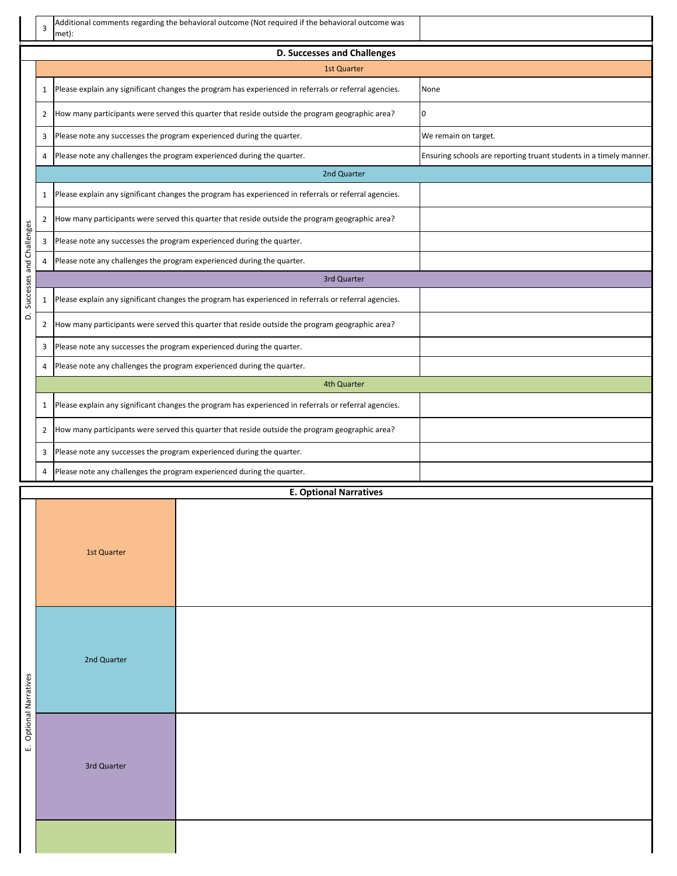|                                    | 3              | met):                                                                  | Additional comments regarding the behavioral outcome (Not required if the behavioral outcome was      |                                                                    |  |  |  |  |  |  |
|------------------------------------|----------------|------------------------------------------------------------------------|-------------------------------------------------------------------------------------------------------|--------------------------------------------------------------------|--|--|--|--|--|--|
| <b>D. Successes and Challenges</b> |                |                                                                        |                                                                                                       |                                                                    |  |  |  |  |  |  |
|                                    |                |                                                                        | <b>1st Quarter</b>                                                                                    |                                                                    |  |  |  |  |  |  |
|                                    | 1              |                                                                        | Please explain any significant changes the program has experienced in referrals or referral agencies. | None                                                               |  |  |  |  |  |  |
|                                    | 2              |                                                                        | How many participants were served this quarter that reside outside the program geographic area?       | 0                                                                  |  |  |  |  |  |  |
|                                    | 3              |                                                                        | Please note any successes the program experienced during the quarter.                                 | We remain on target.                                               |  |  |  |  |  |  |
|                                    | 4              |                                                                        | Please note any challenges the program experienced during the quarter.                                | Ensuring schools are reporting truant students in a timely manner. |  |  |  |  |  |  |
|                                    |                |                                                                        | 2nd Quarter                                                                                           |                                                                    |  |  |  |  |  |  |
|                                    | 1              |                                                                        | Please explain any significant changes the program has experienced in referrals or referral agencies. |                                                                    |  |  |  |  |  |  |
|                                    | $\overline{2}$ |                                                                        | How many participants were served this quarter that reside outside the program geographic area?       |                                                                    |  |  |  |  |  |  |
|                                    | 3              |                                                                        | Please note any successes the program experienced during the quarter.                                 |                                                                    |  |  |  |  |  |  |
|                                    | 4              |                                                                        | Please note any challenges the program experienced during the quarter.                                |                                                                    |  |  |  |  |  |  |
|                                    |                |                                                                        | 3rd Quarter                                                                                           |                                                                    |  |  |  |  |  |  |
| Successes and Challenges           | 1              |                                                                        | Please explain any significant changes the program has experienced in referrals or referral agencies. |                                                                    |  |  |  |  |  |  |
| $\dot{\mathbf{C}}$                 | 2              |                                                                        | How many participants were served this quarter that reside outside the program geographic area?       |                                                                    |  |  |  |  |  |  |
|                                    | 3              |                                                                        | Please note any successes the program experienced during the quarter.                                 |                                                                    |  |  |  |  |  |  |
|                                    | 4              |                                                                        | Please note any challenges the program experienced during the quarter.                                |                                                                    |  |  |  |  |  |  |
|                                    |                |                                                                        | 4th Quarter                                                                                           |                                                                    |  |  |  |  |  |  |
|                                    | 1              |                                                                        | Please explain any significant changes the program has experienced in referrals or referral agencies. |                                                                    |  |  |  |  |  |  |
|                                    | 2              |                                                                        | How many participants were served this quarter that reside outside the program geographic area?       |                                                                    |  |  |  |  |  |  |
|                                    | 3              |                                                                        | Please note any successes the program experienced during the quarter.                                 |                                                                    |  |  |  |  |  |  |
|                                    | 4              | Please note any challenges the program experienced during the quarter. |                                                                                                       |                                                                    |  |  |  |  |  |  |
|                                    |                |                                                                        |                                                                                                       |                                                                    |  |  |  |  |  |  |
|                                    |                | 1st Quarter                                                            |                                                                                                       |                                                                    |  |  |  |  |  |  |
| <b>Optional Narratives</b>         |                | 2nd Quarter                                                            |                                                                                                       |                                                                    |  |  |  |  |  |  |
| نى                                 |                | 3rd Quarter                                                            |                                                                                                       |                                                                    |  |  |  |  |  |  |
|                                    |                |                                                                        |                                                                                                       |                                                                    |  |  |  |  |  |  |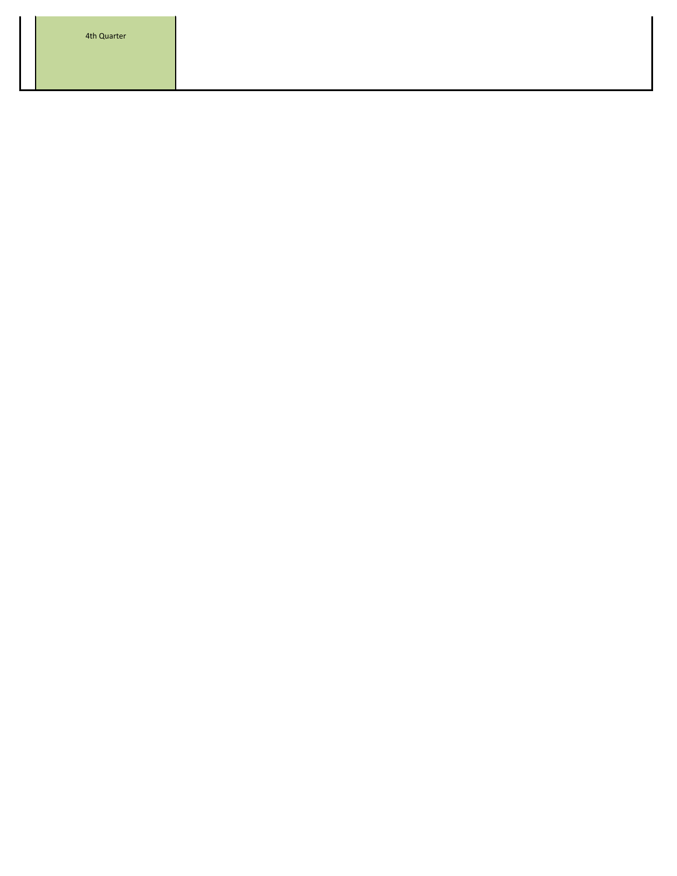4th Quarter